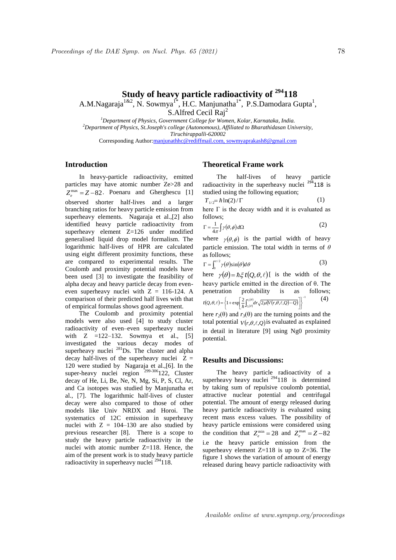# **Study of heavy particle radioactivity of <sup>294</sup>118** A.M.Nagaraja<sup>1&2</sup>, N. Sowmya<sup>1\*</sup>, H.C. Manjunatha<sup>1\*</sup>, P.S.Damodara Gupta<sup>1</sup>,

S.Alfred Cecil Rai<sup>2</sup>

*<sup>1</sup>Department of Physics, Government College for Women, Kolar, Karnataka, India. <sup>2</sup>Department of Physics, St.Joseph's college (Autonomous), Affiliated to Bharathidasan University, Tiruchirappalli-620002* Corresponding Author:manjunathhc@rediffmail.com, sowmyaprakash8@gmail.com

### **Introduction**

In heavy-particle radioactivity, emitted particles may have atomic number Ze>28 and  $Z_e^{\text{max}} = Z - 82$ . Poenaru and Gherghescu [1] observed shorter half-lives and a larger branching ratios for heavy particle emission from superheavy elements. Nagaraja et al.,[2] also identified heavy particle radioactivity from superheavy element Z=126 under modified generalised liquid drop model formalism. The logarithmic half-lives of HPR are calculated using eight different proximity functions, these are compared to experimental results. The Coulomb and proximity potential models have been used [3] to investigate the feasibility of alpha decay and heavy particle decay from eveneven superheavy nuclei with  $Z = 116-124$ . A comparison of their predicted half lives with that of empirical formulas shows good agreement.

The Coulomb and proximity potential models were also used [4] to study cluster radioactivity of even–even superheavy nuclei with  $Z = 122-132$ . Sowmya et al., [5] investigated the various decay modes of superheavy nuclei <sup>281</sup>Ds. The cluster and alpha decay half-lives of the superheavy nuclei  $Z =$ 120 were studied by Nagaraja et al.,[6]. In the super-heavy nuclei region  $299-306122$ , Cluster decay of He, Li, Be, Ne, N, Mg, Si, P, S, Cl, Ar, and Ca isotopes was studied by Manjunatha et al., [7]. The logarithmic half-lives of cluster decay were also compared to those of other models like Univ NRDX and Horoi. The systematics of 12C emission in superheavy nuclei with  $Z = 104-130$  are also studied by previous researcher [8]. There is a scope to study the heavy particle radioactivity in the nuclei with atomic number Z=118. Hence, the aim of the present work is to study heavy particle radioactivity in superheavy nuclei <sup>294</sup>118.

#### **Theoretical Frame work**

The half-lives of heavy particle radioactivity in the superheavy nuclei  $294$  118 is studied using the following equation;

$$
T_{1/2} = \hbar \ln(2) / \Gamma \tag{1}
$$

here  $\Gamma$  is the decay width and it is evaluated as follows;

$$
\Gamma = \frac{1}{4\pi} \int \gamma(\theta, \phi) d\Omega \tag{2}
$$

where  $\gamma(\theta, \phi)$  is the partial width of heavy particle emission. The total width in terms of *θ*  as follows;

$$
\Gamma = \int_0^{\pi/2} \gamma(\theta) \sin(\theta) d\theta \tag{3}
$$

here  $\gamma(\theta) = \hbar \xi t(Q, \theta, \ell)$  is the width of the heavy particle emitted in the direction of θ. The penetration probability is as follows;  $(Q,\theta,\ell) = \left\{1 + \exp\left(\frac{2}{\hbar}\int_{r_0(\theta)}^{r_0(\theta)} dr \sqrt{2\mu(V(r,\theta,\ell,Q)-Q)}\right)\right\}$  $\left[ \begin{matrix} 1 & 0 \\ 0 & 1 \end{matrix} \right]$  $\mathcal{L}(\theta,\ell) = \left\{1 + \exp\left[\frac{2}{\hbar}\int_{r_2(\theta)}^{r_1(\theta)} dr \sqrt{2\mu(V(r,\theta,\ell,Q)-Q)}\right]\right\}^{-1}$  $\left\{ \right\}$  $\left\{1+\exp\left[\frac{2}{\hbar}\int_{r_2(\theta)}^{r_3(\theta)}\! dr \sqrt{2\mu(V(r,\theta,\ell,Q)-Q)}\right]\right\}$  $\left[ \frac{2}{\hbar} \int_{r_2(\theta)}^{r_3(\theta)} \!\! dr \sqrt{2\mu(V(r,\theta,\ell,Q) \!-\! Q)} \right]$  $=\left\{1+\exp\left(\frac{2}{\hbar}\int_{r_0(\theta)}^{r_3(\theta)}dr\sqrt{2\mu(V(r,\theta,\ell,Q)-q)}\right)\right\}$  $(\theta,\ell) = \left\{1 + \exp\left[\frac{2}{\hbar}\int_{r_1(\ell)}^{r_2(\ell)} dr \sqrt{2\mu(V(r,\ell))}\right]\right\}$  $t(Q, \theta, \ell) = \left\{1 + \exp\left[\frac{2}{\hbar}\int_{r_2(\theta)}^{r_3(\theta)} dr \sqrt{2\mu(V(r, \theta, \ell, Q)-Q)}\right]\right\}$ (4)

here  $r_2(\theta)$  and  $r_3(\theta)$  are the turning points and the total potential  $V(r, \theta, \ell, Q)$  is evaluated as explained in detail in literature [9] using Ng0 proximity potential.

#### **Results and Discussions:**

The heavy particle radioactivity of a superheavy heavy nuclei  $^{294}118$  is determined by taking sum of repulsive coulomb potential, attractive nuclear potential and centrifugal potential. The amount of energy released during heavy particle radioactivity is evaluated using recent mass excess values. The possibility of heavy particle emissions were considered using the condition that  $Z_e^{\text{min}} = 28$  and  $Z_e^{\text{max}} = Z - 82$ i.e the heavy particle emission from the superheavy element  $Z=118$  is up to  $Z=36$ . The figure 1 shows the variation of amount of energy released during heavy particle radioactivity with